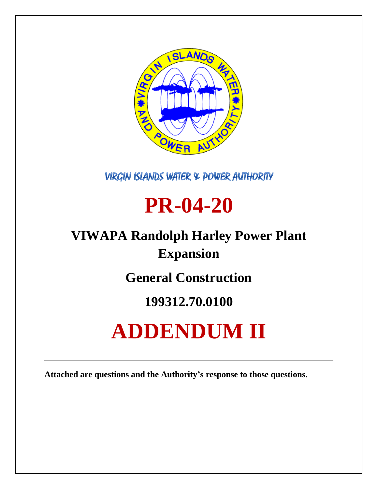

**VIRGIN ISLANDS WATER & POWER AUTHORITY** 

## **PR-04-20**

## **VIWAPA Randolph Harley Power Plant Expansion**

**General Construction**

### **199312.70.0100**

# **ADDENDUM II**

**Attached are questions and the Authority's response to those questions.**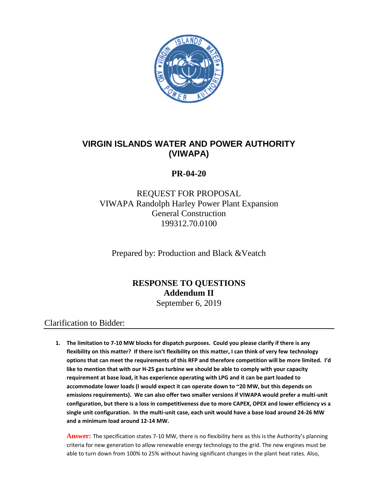

#### **VIRGIN ISLANDS WATER AND POWER AUTHORITY (VIWAPA)**

#### **PR-04-20**

#### REQUEST FOR PROPOSAL VIWAPA Randolph Harley Power Plant Expansion General Construction 199312.70.0100

Prepared by: Production and Black &Veatch

#### **RESPONSE TO QUESTIONS Addendum II**

September 6, 2019

#### Clarification to Bidder:

**1. The limitation to 7-10 MW blocks for dispatch purposes. Could you please clarify if there is any flexibility on this matter? If there isn't flexibility on this matter, I can think of very few technology options that can meet the requirements of this RFP and therefore competition will be more limited. I'd like to mention that with our H-25 gas turbine we should be able to comply with your capacity requirement at base load, it has experience operating with LPG and it can be part loaded to accommodate lower loads (I would expect it can operate down to ~20 MW, but this depends on emissions requirements). We can also offer two smaller versions if VIWAPA would prefer a multi-unit configuration, but there is a loss in competitiveness due to more CAPEX, OPEX and lower efficiency vs a single unit configuration. In the multi-unit case, each unit would have a base load around 24-26 MW and a minimum load around 12-14 MW.**

**Answer:** The specification states 7-10 MW, there is no flexibility here as this is the Authority's planning criteria for new generation to allow renewable energy technology to the grid. The new engines must be able to turn down from 100% to 25% without having significant changes in the plant heat rates. Also,